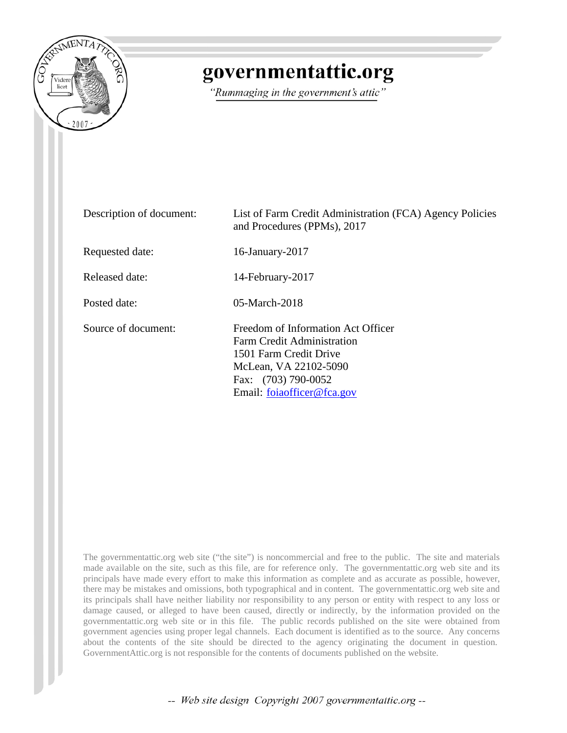

## governmentattic.org

"Rummaging in the government's attic"

| Description of document: | List of Farm Credit Administration (FCA) Agency Policies<br>and Procedures (PPMs), 2017                                                                                         |
|--------------------------|---------------------------------------------------------------------------------------------------------------------------------------------------------------------------------|
| Requested date:          | 16-January-2017                                                                                                                                                                 |
| Released date:           | 14-February-2017                                                                                                                                                                |
| Posted date:             | $05$ -March-2018                                                                                                                                                                |
| Source of document:      | Freedom of Information Act Officer<br><b>Farm Credit Administration</b><br>1501 Farm Credit Drive<br>McLean, VA 22102-5090<br>Fax: (703) 790-0052<br>Email: foiaofficer@fca.gov |

The governmentattic.org web site ("the site") is noncommercial and free to the public. The site and materials made available on the site, such as this file, are for reference only. The governmentattic.org web site and its principals have made every effort to make this information as complete and as accurate as possible, however, there may be mistakes and omissions, both typographical and in content. The governmentattic.org web site and its principals shall have neither liability nor responsibility to any person or entity with respect to any loss or damage caused, or alleged to have been caused, directly or indirectly, by the information provided on the governmentattic.org web site or in this file. The public records published on the site were obtained from government agencies using proper legal channels. Each document is identified as to the source. Any concerns about the contents of the site should be directed to the agency originating the document in question. GovernmentAttic.org is not responsible for the contents of documents published on the website.

-- Web site design Copyright 2007 governmentattic.org --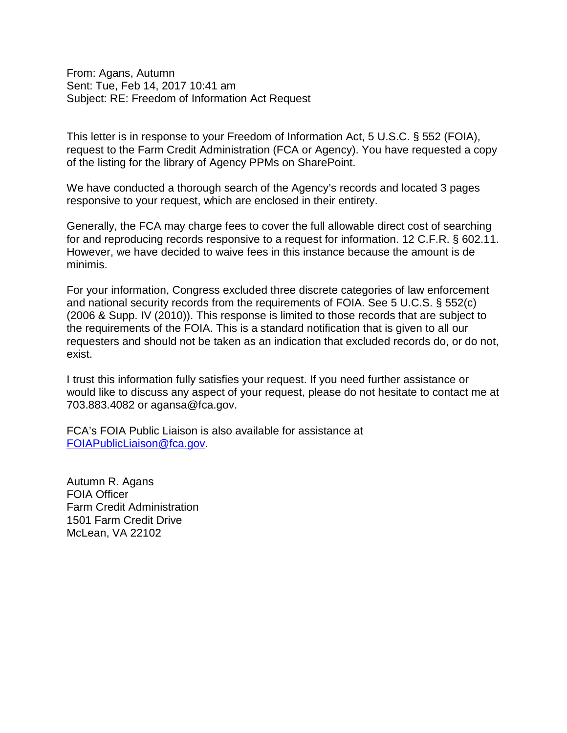From: Agans, Autumn Sent: Tue, Feb 14, 2017 10:41 am Subject: RE: Freedom of Information Act Request

This letter is in response to your Freedom of Information Act, 5 U.S.C. § 552 (FOIA), request to the Farm Credit Administration (FCA or Agency). You have requested a copy of the listing for the library of Agency PPMs on SharePoint.

We have conducted a thorough search of the Agency's records and located 3 pages responsive to your request, which are enclosed in their entirety.

Generally, the FCA may charge fees to cover the full allowable direct cost of searching for and reproducing records responsive to a request for information. 12 C.F.R. § 602.11. However, we have decided to waive fees in this instance because the amount is de minimis.

For your information, Congress excluded three discrete categories of law enforcement and national security records from the requirements of FOIA. See 5 U.C.S. § 552(c) (2006 & Supp. IV (2010)). This response is limited to those records that are subject to the requirements of the FOIA. This is a standard notification that is given to all our requesters and should not be taken as an indication that excluded records do, or do not, exist.

I trust this information fully satisfies your request. If you need further assistance or would like to discuss any aspect of your request, please do not hesitate to contact me at 703.883.4082 or agansa@fca.gov.

FCA's FOIA Public Liaison is also available for assistance at [FOIAPublicLiaison@fca.gov.](mailto:FOIAPublicLiaison@fca.gov)

Autumn R. Agans FOIA Officer Farm Credit Administration 1501 Farm Credit Drive McLean, VA 22102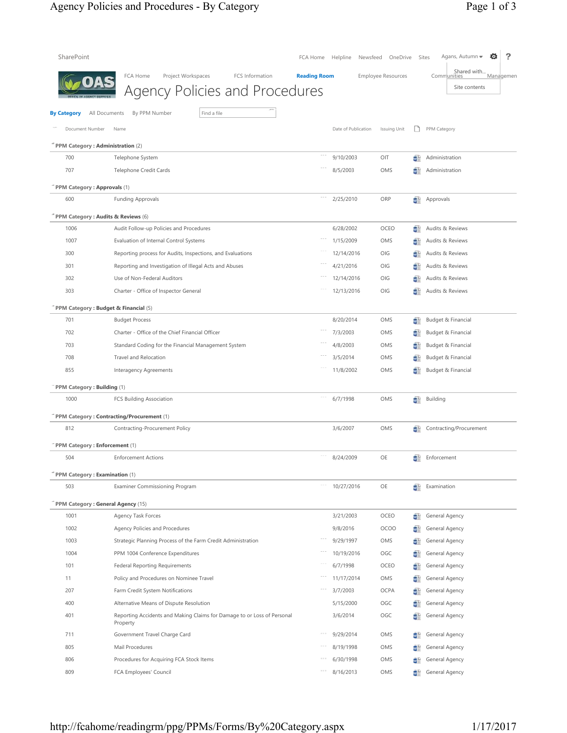## Agency Policies and Procedures - By Category Page 1 of 3

| SharePoint                         |                                                                                            | FCA Home            | Helpline<br>Newsfeed | OneDrive                  |    | ?<br>o<br>Agans, Autumn =<br>Sites                       |
|------------------------------------|--------------------------------------------------------------------------------------------|---------------------|----------------------|---------------------------|----|----------------------------------------------------------|
|                                    | FCA Home<br>Project Workspaces<br>FCS Information<br><b>Agency Policies and Procedures</b> | <b>Reading Room</b> |                      | <b>Employee Resources</b> |    | Shared with<br>Communities<br>Managemen<br>Site contents |
| <b>By Category</b>                 | By PPM Number<br>Find a file<br>All Documents                                              |                     |                      |                           |    |                                                          |
| Document Number                    | Name                                                                                       |                     | Date of Publication  | Issuing Unit              | ❏  | PPM Category                                             |
|                                    | PPM Category: Administration (2)                                                           |                     |                      |                           |    |                                                          |
| 700                                | Telephone System                                                                           |                     | 9/10/2003            | OIT                       | ψÊ | Administration                                           |
| 707                                | <b>Telephone Credit Cards</b>                                                              |                     | 8/5/2003             | OMS                       | ₩È | Administration                                           |
|                                    |                                                                                            |                     |                      |                           |    |                                                          |
| PPM Category: Approvals (1)<br>600 |                                                                                            |                     |                      | ORP                       |    |                                                          |
|                                    | <b>Funding Approvals</b>                                                                   |                     | 2/25/2010            |                           | ΨÊ | Approvals                                                |
|                                    | PPM Category: Audits & Reviews (6)                                                         |                     |                      |                           |    |                                                          |
| 1006                               | Audit Follow-up Policies and Procedures                                                    |                     | 6/28/2002            | <b>OCEO</b>               | ψÊ | Audits & Reviews                                         |
| 1007                               | Evaluation of Internal Control Systems                                                     |                     | 1/15/2009            | OMS                       | ΨĖ | Audits & Reviews                                         |
| 300                                | Reporting process for Audits, Inspections, and Evaluations                                 |                     | 12/14/2016           | OIG                       | wÊ | Audits & Reviews                                         |
| 301                                | Reporting and Investigation of Illegal Acts and Abuses                                     |                     | 4/21/2016            | OIG                       | ΨĖ | Audits & Reviews                                         |
| 302                                | Use of Non-Federal Auditors                                                                |                     | 12/14/2016           | OIG                       | ΨĖ | Audits & Reviews                                         |
| 303                                | Charter - Office of Inspector General                                                      |                     | 12/13/2016           | OIG                       | 竰  | Audits & Reviews                                         |
|                                    | PPM Category: Budget & Financial (5)                                                       |                     |                      |                           |    |                                                          |
| 701                                | <b>Budget Process</b>                                                                      |                     | 8/20/2014            | OMS                       | WÊ | Budget & Financial                                       |
| 702                                | Charter - Office of the Chief Financial Officer                                            |                     | 7/3/2003             | OMS                       | ΨĖ | Budget & Financial                                       |
| 703                                | Standard Coding for the Financial Management System                                        |                     | 4/8/2003             | OMS                       | ΨĖ | Budget & Financial                                       |
| 708                                | Travel and Relocation                                                                      |                     | 3/5/2014             | OMS                       | ΨĖ | Budget & Financial                                       |
| 855                                | Interagency Agreements                                                                     |                     | 11/8/2002            | OMS                       | WÊ | Budget & Financial                                       |
| PPM Category: Building (1)         |                                                                                            |                     |                      |                           |    |                                                          |
| 1000                               | FCS Building Association                                                                   |                     | 6/7/1998             | OMS                       | ωÊ | <b>Building</b>                                          |
|                                    | PPM Category: Contracting/Procurement (1)                                                  |                     |                      |                           |    |                                                          |
| 812                                | Contracting-Procurement Policy                                                             |                     | 3/6/2007             | OMS                       | 竰  | Contracting/Procurement                                  |
|                                    |                                                                                            |                     |                      |                           |    |                                                          |
|                                    | PPM Category: Enforcement (1)                                                              |                     |                      |                           |    |                                                          |
| 504                                | <b>Enforcement Actions</b>                                                                 |                     | 8/24/2009            | OE                        |    | Enforcement                                              |
|                                    | PPM Category: Examination (1)                                                              |                     |                      |                           |    |                                                          |
| 503                                | Examiner Commissioning Program                                                             | $\sim$ $ \sim$      | 10/27/2016           | OE                        | ψÊ | Examination                                              |
|                                    | PPM Category: General Agency (15)                                                          |                     |                      |                           |    |                                                          |
| 1001                               | Agency Task Forces                                                                         |                     | 3/21/2003            | OCEO                      | ₩È | General Agency                                           |
| 1002                               | Agency Policies and Procedures                                                             |                     | 9/8/2016             | <b>OCOO</b>               | ΨĖ | General Agency                                           |
| 1003                               | Strategic Planning Process of the Farm Credit Administration                               |                     | 9/29/1997            | OMS                       | ΨĖ | General Agency                                           |
| 1004                               | PPM 1004 Conference Expenditures                                                           |                     | 10/19/2016           | OGC                       | wÊ | General Agency                                           |
| 101                                | <b>Federal Reporting Requirements</b>                                                      |                     | 6/7/1998             | OCEO                      | ₩Ě | General Agency                                           |
| 11                                 | Policy and Procedures on Nominee Travel                                                    |                     | 11/17/2014           | OMS                       | W  | General Agency                                           |
| 207                                | Farm Credit System Notifications                                                           |                     | 3/7/2003             | OCPA                      | w  | General Agency                                           |
| 400                                | Alternative Means of Dispute Resolution                                                    |                     | 5/15/2000            | OGC                       | w  | General Agency                                           |
| 401                                | Reporting Accidents and Making Claims for Damage to or Loss of Personal<br>Property        |                     | 3/6/2014             | OGC                       | 岴  | General Agency                                           |
| 711                                | Government Travel Charge Card                                                              |                     | 9/29/2014            | OMS                       |    | General Agency                                           |
| 805                                | Mail Procedures                                                                            |                     | 8/19/1998            | OMS                       | w  | General Agency                                           |
| 806                                | Procedures for Acquiring FCA Stock Items                                                   |                     | 6/30/1998            | OMS                       |    | General Agency                                           |
| 809                                | FCA Employees' Council                                                                     |                     | 8/16/2013            | OMS                       |    | General Agency                                           |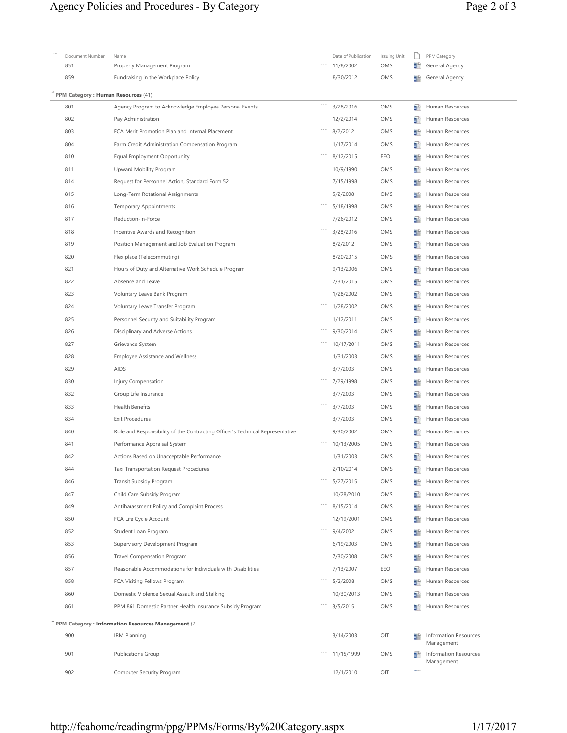## Agency Policies and Procedures - By Category Page 2 of 3

| Document Number                    | Name                                                                          | Date of Publication | Issuing Unit |              | PPM Category                               |
|------------------------------------|-------------------------------------------------------------------------------|---------------------|--------------|--------------|--------------------------------------------|
| 851                                | Property Management Program                                                   | 11/8/2002           | OMS          | ΨÍ           | General Agency                             |
| 859                                | Fundraising in the Workplace Policy                                           | 8/30/2012           | OMS          | ΨĖ           | General Agency                             |
| PPM Category: Human Resources (41) |                                                                               |                     |              |              |                                            |
| 801                                | Agency Program to Acknowledge Employee Personal Events                        | 3/28/2016           | OMS          | 碷            | Human Resources                            |
| 802                                | Pay Administration                                                            | 12/2/2014           | OMS          | Ψ            | Human Resources                            |
| 803                                | FCA Merit Promotion Plan and Internal Placement                               | 8/2/2012            | OMS          | ωľ           | Human Resources                            |
| 804                                | Farm Credit Administration Compensation Program                               | 1/17/2014           | OMS          | ωľ           | Human Resources                            |
| 810                                | Equal Employment Opportunity                                                  | 8/12/2015           | EEO          | ωĽ           | Human Resources                            |
| 811                                | Upward Mobility Program                                                       | 10/9/1990           | OMS          | Ψ            | Human Resources                            |
| 814                                | Request for Personnel Action, Standard Form 52                                | 7/15/1998           | OMS          | Ψ            | Human Resources                            |
| 815                                | Long-Term Rotational Assignments                                              | 5/2/2008            | OMS          | ωľ           | Human Resources                            |
| 816                                | <b>Temporary Appointments</b>                                                 | 5/18/1998           | OMS          | ωĽ           | Human Resources                            |
| 817                                | Reduction-in-Force                                                            | 7/26/2012           | OMS          | ij           | Human Resources                            |
| 818                                | Incentive Awards and Recognition                                              | 3/28/2016           | OMS          | Ψ            | Human Resources                            |
| 819                                | Position Management and Job Evaluation Program                                | 8/2/2012            | OMS          | ωľ           | Human Resources                            |
| 820                                | Flexiplace (Telecommuting)                                                    | 8/20/2015           | OMS          | w            | Human Resources                            |
| 821                                | Hours of Duty and Alternative Work Schedule Program                           | 9/13/2006           | OMS          | w.           | Human Resources                            |
| 822                                | Absence and Leave                                                             | 7/31/2015           | OMS          | w.           | Human Resources                            |
| 823                                | Voluntary Leave Bank Program                                                  | 1/28/2002           | OMS          | ψſ           | Human Resources                            |
| 824                                | Voluntary Leave Transfer Program                                              | 1/28/2002           | OMS          | ₩Ē           | Human Resources                            |
| 825                                | Personnel Security and Suitability Program                                    | 1/12/2011           | OMS          | w            | Human Resources                            |
| 826                                | Disciplinary and Adverse Actions                                              | 9/30/2014           | OMS          | W            | Human Resources                            |
| 827                                | Grievance System                                                              | 10/17/2011          | OMS          | ΨĖ           | Human Resources                            |
| 828                                | <b>Employee Assistance and Wellness</b>                                       | 1/31/2003           | OMS          | Ψİ           | Human Resources                            |
| 829                                | AIDS                                                                          | 3/7/2003            | OMS          | w.           | Human Resources                            |
| 830                                | Injury Compensation                                                           | 7/29/1998           | OMS          | w.           | Human Resources                            |
| 832                                | Group Life Insurance                                                          | 3/7/2003            | OMS          | w            | Human Resources                            |
| 833                                | <b>Health Benefits</b>                                                        | 3/7/2003            | OMS          | ₩Ē           | Human Resources                            |
| 834                                | <b>Exit Procedures</b>                                                        | 3/7/2003            | OMS          | w            | Human Resources                            |
| 840                                | Role and Responsibility of the Contracting Officer's Technical Representative | 9/30/2002           | OMS          | W            | Human Resources                            |
| 841                                | Performance Appraisal System                                                  | 10/13/2005          | OMS          | Ψİ           | Human Resources                            |
| 842                                | Actions Based on Unacceptable Performance                                     | 1/31/2003           | OMS          | ₩Ē           | Human Resources                            |
| 844                                | Taxi Transportation Request Procedures                                        | 2/10/2014           | OMS          |              | Human Resources                            |
| 846                                | Transit Subsidy Program                                                       | 5/27/2015           | OMS          | w            | Human Resources                            |
| 847                                | Child Care Subsidy Program                                                    | 10/28/2010          | OMS          | ωĽ           | Human Resources                            |
| 849                                | Antiharassment Policy and Complaint Process                                   | 8/15/2014           | OMS          | ωĽ           | Human Resources                            |
| 850                                | FCA Life Cycle Account                                                        | 12/19/2001          | OMS          | Ψ            | Human Resources                            |
| 852                                | Student Loan Program                                                          | 9/4/2002            | OMS          | ωľ           | Human Resources                            |
| 853                                | Supervisory Development Program                                               | 6/19/2003           | OMS          | ωľ           | Human Resources                            |
| 856                                | <b>Travel Compensation Program</b>                                            | 7/30/2008           | OMS          | ₩Ē           | Human Resources                            |
| 857                                | Reasonable Accommodations for Individuals with Disabilities                   | 7/13/2007           | EEO          |              | Human Resources                            |
| 858                                | FCA Visiting Fellows Program                                                  | 5/2/2008            | OMS          | w            | Human Resources                            |
| 860                                | Domestic Violence Sexual Assault and Stalking                                 | 10/30/2013          | OMS          | ΨÉ           | Human Resources                            |
| 861                                | PPM 861 Domestic Partner Health Insurance Subsidy Program                     | 3/5/2015            | OMS          | ωĽ           | Human Resources                            |
|                                    | PPM Category: Information Resources Management (7)                            |                     |              |              |                                            |
| 900                                | <b>IRM Planning</b>                                                           | 3/14/2003           | OIT          | ωÊ           | <b>Information Resources</b>               |
|                                    |                                                                               |                     |              |              | Management                                 |
| 901                                | <b>Publications Group</b>                                                     | 11/15/1999          | OMS          | ۵Ė           | <b>Information Resources</b><br>Management |
| 902                                | Computer Security Program                                                     | 12/1/2010           | OIT          | <b>COLOR</b> |                                            |
|                                    |                                                                               |                     |              |              |                                            |